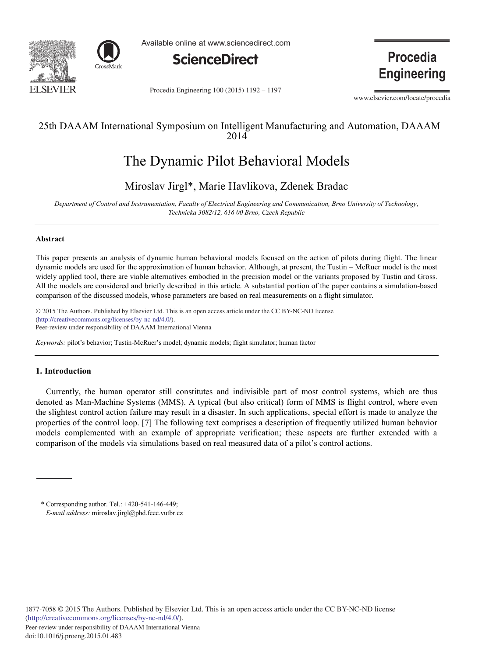



Available online at www.sciencedirect.com



Procedia Engineering 100 (2015) 1192 - 1197

**Procedia Engineering** 

www.elsevier.com/locate/procedia

# 25th DAAAM International Symposium on Intelligent Manufacturing and Automation, DAAAM 2014

# The Dynamic Pilot Behavioral Models

# Miroslav Jirgl\*, Marie Havlikova, Zdenek Bradac

*Department of Control and Instrumentation, Faculty of Electrical Engineering and Communication, Brno University of Technology, Technicka 3082/12, 616 00 Brno, Czech Republic*

# **Abstract**

This paper presents an analysis of dynamic human behavioral models focused on the action of pilots during flight. The linear dynamic models are used for the approximation of human behavior. Although, at present, the Tustin – McRuer model is the most widely applied tool, there are viable alternatives embodied in the precision model or the variants proposed by Tustin and Gross. All the models are considered and briefly described in this article. A substantial portion of the paper contains a simulation-based comparison of the discussed models, whose parameters are based on real measurements on a flight simulator.

© 2015 The Authors. Published by Elsevier Ltd. © 2015 The Authors. Published by Elsevier Ltd. This is an open access article under the CC BY-NC-ND license Peer-review under responsibility of DAAAM International Vienna. Peer-review under responsibility of DAAAM International Vienna(http://creativecommons.org/licenses/by-nc-nd/4.0/).

*Keywords:* pilot's behavior; Tustin-McRuer's model; dynamic models; flight simulator; human factor

# **1. Introduction**

Currently, the human operator still constitutes and indivisible part of most control systems, which are thus denoted as Man-Machine Systems (MMS). A typical (but also critical) form of MMS is flight control, where even the slightest control action failure may result in a disaster. In such applications, special effort is made to analyze the properties of the control loop. [7] The following text comprises a description of frequently utilized human behavior models complemented with an example of appropriate verification; these aspects are further extended with a comparison of the models via simulations based on real measured data of a pilot's control actions.

<sup>\*</sup> Corresponding author. Tel.: +420-541-146-449; *E-mail address:* miroslav.jirgl@phd.feec.vutbr.cz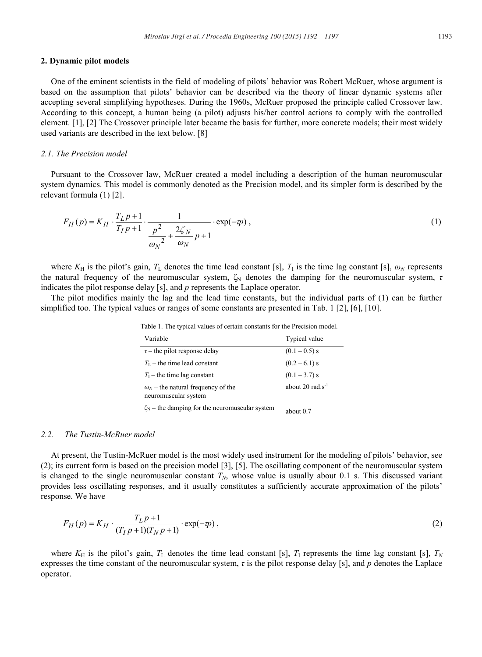#### **2. Dynamic pilot models**

One of the eminent scientists in the field of modeling of pilots' behavior was Robert McRuer, whose argument is based on the assumption that pilots' behavior can be described via the theory of linear dynamic systems after accepting several simplifying hypotheses. During the 1960s, McRuer proposed the principle called Crossover law. According to this concept, a human being (a pilot) adjusts his/her control actions to comply with the controlled element. [1], [2] The Crossover principle later became the basis for further, more concrete models; their most widely used variants are described in the text below. [8]

## *2.1. The Precision model*

Pursuant to the Crossover law, McRuer created a model including a description of the human neuromuscular system dynamics. This model is commonly denoted as the Precision model, and its simpler form is described by the relevant formula (1) [2].

$$
F_H(p) = K_H \cdot \frac{T_L p + 1}{T_I p + 1} \cdot \frac{1}{\frac{p^2}{\omega_N^2} + \frac{2\zeta_N}{\omega_N} p + 1} \cdot \exp(-\varphi) ,
$$
 (1)

where  $K_H$  is the pilot's gain,  $T_L$  denotes the time lead constant [s],  $T_I$  is the time lag constant [s],  $\omega_N$  represents the natural frequency of the neuromuscular system, ζ<sub>N</sub> denotes the damping for the neuromuscular system, *τ* indicates the pilot response delay [s], and *p* represents the Laplace operator.

The pilot modifies mainly the lag and the lead time constants, but the individual parts of (1) can be further simplified too. The typical values or ranges of some constants are presented in Tab. 1 [2], [6], [10].

| Variable                                                            | Typical value         |  |  |
|---------------------------------------------------------------------|-----------------------|--|--|
| $\tau$ – the pilot response delay                                   | $(0.1 - 0.5)$ s       |  |  |
| $T_{L}$ – the time lead constant                                    | $(0.2 - 6.1)$ s       |  |  |
| $T_1$ – the time lag constant                                       | $(0.1 - 3.7)$ s       |  |  |
| $\omega_{N}$ – the natural frequency of the<br>neuromuscular system | about 20 $rad.s^{-1}$ |  |  |
| $\zeta_N$ – the damping for the neuromuscular system                | about $0.7$           |  |  |

Table 1. The typical values of certain constants for the Precision model.

#### *2.2. The Tustin-McRuer model*

At present, the Tustin-McRuer model is the most widely used instrument for the modeling of pilots' behavior, see (2); its current form is based on the precision model [3], [5]. The oscillating component of the neuromuscular system is changed to the single neuromuscular constant  $T_N$ , whose value is usually about 0.1 s. This discussed variant provides less oscillating responses, and it usually constitutes a sufficiently accurate approximation of the pilots' response. We have

$$
F_H(p) = K_H \cdot \frac{T_L p + 1}{(T_I p + 1)(T_N p + 1)} \cdot \exp(-\varphi) \,,\tag{2}
$$

where  $K_H$  is the pilot's gain,  $T_L$  denotes the time lead constant [s],  $T_I$  represents the time lag constant [s],  $T_N$ expresses the time constant of the neuromuscular system, *τ* is the pilot response delay [s], and *p* denotes the Laplace operator.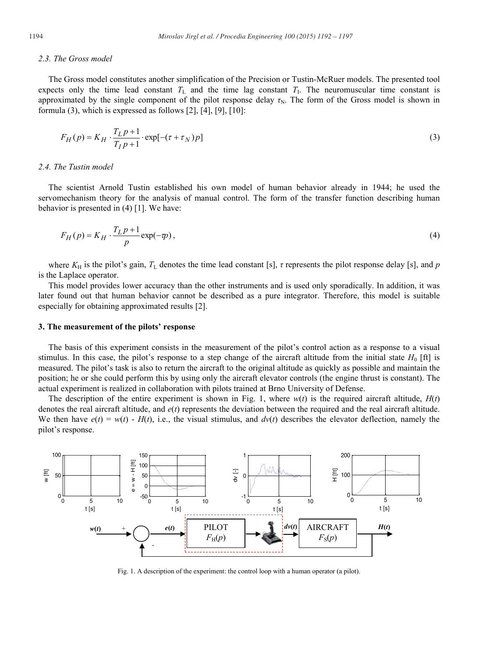#### *2.3. The Gross model*

The Gross model constitutes another simplification of the Precision or Tustin-McRuer models. The presented tool expects only the time lead constant  $T_L$  and the time lag constant  $T_L$ . The neuromuscular time constant is approximated by the single component of the pilot response delay  $\tau_N$ . The form of the Gross model is shown in formula (3), which is expressed as follows [2], [4], [9], [10]:

$$
F_H(p) = K_H \cdot \frac{T_L p + 1}{T_I p + 1} \cdot \exp[-(\tau + \tau_N)p]
$$
\n<sup>(3)</sup>

# *2.4. The Tustin model*

The scientist Arnold Tustin established his own model of human behavior already in 1944; he used the servomechanism theory for the analysis of manual control. The form of the transfer function describing human behavior is presented in (4) [1]. We have:

$$
F_H(p) = K_H \cdot \frac{T_L p + 1}{p} \exp(-\varphi),\tag{4}
$$

where *K*<sub>H</sub> is the pilot's gain, *T*<sub>L</sub> denotes the time lead constant [s], *τ* represents the pilot response delay [s], and *p* is the Laplace operator.

This model provides lower accuracy than the other instruments and is used only sporadically. In addition, it was later found out that human behavior cannot be described as a pure integrator. Therefore, this model is suitable especially for obtaining approximated results [2].

#### **3. The measurement of the pilots' response**

The basis of this experiment consists in the measurement of the pilot's control action as a response to a visual stimulus. In this case, the pilot's response to a step change of the aircraft altitude from the initial state  $H_0$  [ft] is measured. The pilot's task is also to return the aircraft to the original altitude as quickly as possible and maintain the position; he or she could perform this by using only the aircraft elevator controls (the engine thrust is constant). The actual experiment is realized in collaboration with pilots trained at Brno University of Defense.

The description of the entire experiment is shown in Fig. 1, where  $w(t)$  is the required aircraft altitude,  $H(t)$ denotes the real aircraft altitude, and *e*(*t*) represents the deviation between the required and the real aircraft altitude. We then have  $e(t) = w(t) - H(t)$ , i.e., the visual stimulus, and  $dv(t)$  describes the elevator deflection, namely the pilot's response.



Fig. 1. A description of the experiment: the control loop with a human operator (a pilot).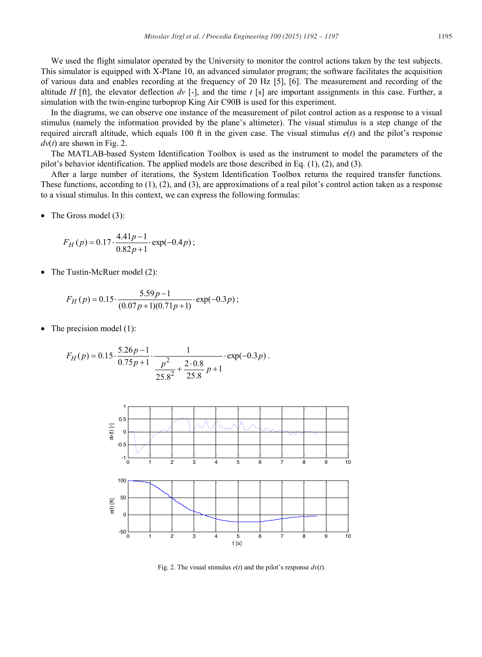We used the flight simulator operated by the University to monitor the control actions taken by the test subjects. This simulator is equipped with X-Plane 10, an advanced simulator program; the software facilitates the acquisition of various data and enables recording at the frequency of 20 Hz [5], [6]. The measurement and recording of the altitude *H* [ft], the elevator deflection  $dv$  [-], and the time *t* [s] are important assignments in this case. Further, a simulation with the twin-engine turboprop King Air C90B is used for this experiment.

In the diagrams, we can observe one instance of the measurement of pilot control action as a response to a visual stimulus (namely the information provided by the plane's altimeter). The visual stimulus is a step change of the required aircraft altitude, which equals 100 ft in the given case. The visual stimulus *e*(*t*) and the pilot's response  $dv(t)$  are shown in Fig. 2.

The MATLAB-based System Identification Toolbox is used as the instrument to model the parameters of the pilot's behavior identification. The applied models are those described in Eq. (1), (2), and (3).

After a large number of iterations, the System Identification Toolbox returns the required transfer functions. These functions, according to (1), (2), and (3), are approximations of a real pilot's control action taken as a response to a visual stimulus. In this context, we can express the following formulas:

 $\bullet$  The Gross model (3):

$$
F_H(p) = 0.17 \cdot \frac{4.41p - 1}{0.82p + 1} \cdot \exp(-0.4p);
$$

The Tustin-McRuer model (2):

$$
F_H(p) = 0.15 \cdot \frac{5.59p - 1}{(0.07p + 1)(0.71p + 1)} \cdot \exp(-0.3p);
$$

The precision model  $(1)$ :

$$
F_H(p) = 0.15 \cdot \frac{5.26p-1}{0.75p+1} \cdot \frac{1}{\frac{p^2}{25.8^2} + \frac{2 \cdot 0.8}{25.8}p+1} \cdot \exp(-0.3p).
$$



Fig. 2. The visual stimulus  $e(t)$  and the pilot's response  $dv(t)$ .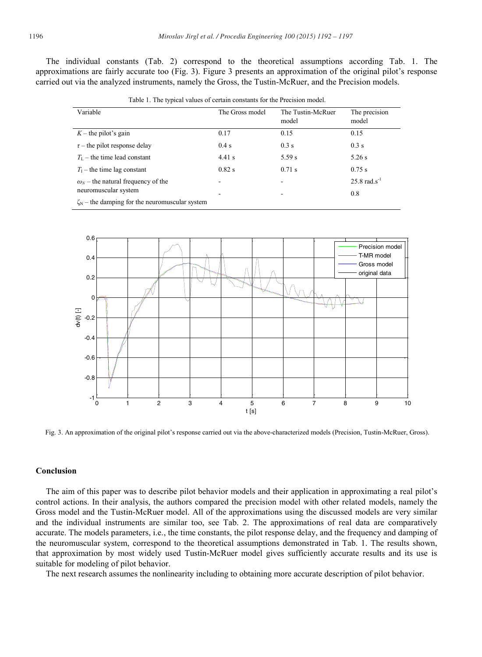The individual constants (Tab. 2) correspond to the theoretical assumptions according Tab. 1. The approximations are fairly accurate too (Fig. 3). Figure 3 presents an approximation of the original pilot's response carried out via the analyzed instruments, namely the Gross, the Tustin-McRuer, and the Precision models.

Table 1. The typical values of certain constants for the Precision model.

| Variable                                             | The Gross model | The Tustin-McRuer<br>model | The precision<br>model     |
|------------------------------------------------------|-----------------|----------------------------|----------------------------|
| $K$ – the pilot's gain                               | 0.17            | 0.15                       | 0.15                       |
| $\tau$ – the pilot response delay                    | $0.4$ s         | $0.3$ s                    | $0.3$ s                    |
| $T_{L}$ – the time lead constant                     | $4.41$ s        | 5.59 s                     | $5.26$ s                   |
| $T_1$ – the time lag constant                        | $0.82$ s        | $0.71$ s                   | 0.75 s                     |
| $\omega_N$ – the natural frequency of the            | -               | ۰                          | $25.8$ rad.s <sup>-1</sup> |
| neuromuscular system                                 | -               | -                          | 0.8                        |
| $\zeta_N$ – the damping for the neuromuscular system |                 |                            |                            |



Fig. 3. An approximation of the original pilot's response carried out via the above-characterized models (Precision, Tustin-McRuer, Gross).

# **Conclusion**

The aim of this paper was to describe pilot behavior models and their application in approximating a real pilot's control actions. In their analysis, the authors compared the precision model with other related models, namely the Gross model and the Tustin-McRuer model. All of the approximations using the discussed models are very similar and the individual instruments are similar too, see Tab. 2. The approximations of real data are comparatively accurate. The models parameters, i.e., the time constants, the pilot response delay, and the frequency and damping of the neuromuscular system, correspond to the theoretical assumptions demonstrated in Tab. 1. The results shown, that approximation by most widely used Tustin-McRuer model gives sufficiently accurate results and its use is suitable for modeling of pilot behavior.

The next research assumes the nonlinearity including to obtaining more accurate description of pilot behavior.